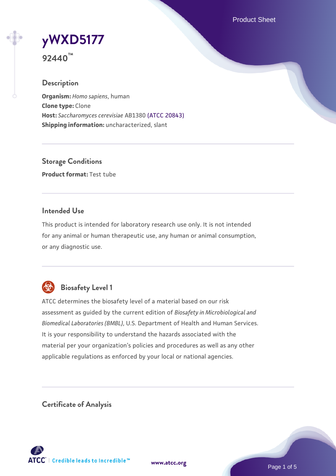Product Sheet

# **[yWXD5177](https://www.atcc.org/products/92440)**

**92440™**

## **Description**

**Organism:** *Homo sapiens*, human **Clone type:** Clone **Host:** *Saccharomyces cerevisiae* AB1380 [\(ATCC 20843\)](https://www.atcc.org/products/20843) **Shipping information:** uncharacterized, slant

**Storage Conditions Product format:** Test tube

### **Intended Use**

This product is intended for laboratory research use only. It is not intended for any animal or human therapeutic use, any human or animal consumption, or any diagnostic use.



# **Biosafety Level 1**

ATCC determines the biosafety level of a material based on our risk assessment as guided by the current edition of *Biosafety in Microbiological and Biomedical Laboratories (BMBL)*, U.S. Department of Health and Human Services. It is your responsibility to understand the hazards associated with the material per your organization's policies and procedures as well as any other applicable regulations as enforced by your local or national agencies.

**Certificate of Analysis**

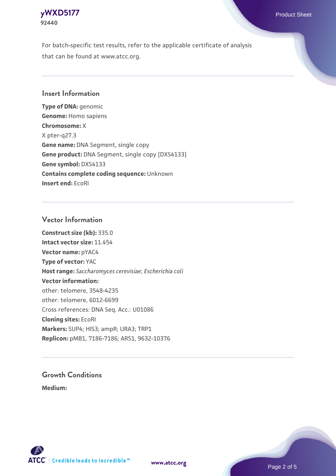

For batch-specific test results, refer to the applicable certificate of analysis that can be found at www.atcc.org.

#### **Insert Information**

**Type of DNA:** genomic **Genome:** Homo sapiens **Chromosome:** X X pter-q27.3 **Gene name:** DNA Segment, single copy **Gene product:** DNA Segment, single copy [DXS4133] **Gene symbol:** DXS4133 **Contains complete coding sequence:** Unknown **Insert end:** EcoRI

#### **Vector Information**

**Construct size (kb):** 335.0 **Intact vector size:** 11.454 **Vector name:** pYAC4 **Type of vector:** YAC **Host range:** *Saccharomyces cerevisiae*; *Escherichia coli* **Vector information:** other: telomere, 3548-4235 other: telomere, 6012-6699 Cross references: DNA Seq. Acc.: U01086 **Cloning sites:** EcoRI **Markers:** SUP4; HIS3; ampR; URA3; TRP1 **Replicon:** pMB1, 7186-7186; ARS1, 9632-10376

# **Growth Conditions**

**Medium:** 





Page 2 of 5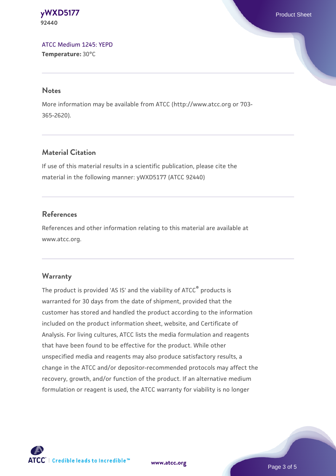**[yWXD5177](https://www.atcc.org/products/92440)** Product Sheet **92440**

[ATCC Medium 1245: YEPD](https://www.atcc.org/-/media/product-assets/documents/microbial-media-formulations/1/2/4/5/atcc-medium-1245.pdf?rev=705ca55d1b6f490a808a965d5c072196) **Temperature:** 30°C

#### **Notes**

More information may be available from ATCC (http://www.atcc.org or 703- 365-2620).

### **Material Citation**

If use of this material results in a scientific publication, please cite the material in the following manner: yWXD5177 (ATCC 92440)

#### **References**

References and other information relating to this material are available at www.atcc.org.

#### **Warranty**

The product is provided 'AS IS' and the viability of ATCC® products is warranted for 30 days from the date of shipment, provided that the customer has stored and handled the product according to the information included on the product information sheet, website, and Certificate of Analysis. For living cultures, ATCC lists the media formulation and reagents that have been found to be effective for the product. While other unspecified media and reagents may also produce satisfactory results, a change in the ATCC and/or depositor-recommended protocols may affect the recovery, growth, and/or function of the product. If an alternative medium formulation or reagent is used, the ATCC warranty for viability is no longer



**[www.atcc.org](http://www.atcc.org)**

Page 3 of 5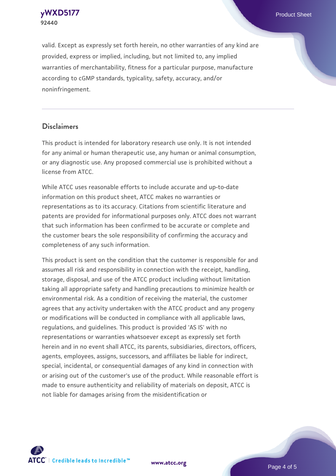**[yWXD5177](https://www.atcc.org/products/92440)** Product Sheet **92440**

valid. Except as expressly set forth herein, no other warranties of any kind are provided, express or implied, including, but not limited to, any implied warranties of merchantability, fitness for a particular purpose, manufacture according to cGMP standards, typicality, safety, accuracy, and/or noninfringement.

#### **Disclaimers**

This product is intended for laboratory research use only. It is not intended for any animal or human therapeutic use, any human or animal consumption, or any diagnostic use. Any proposed commercial use is prohibited without a license from ATCC.

While ATCC uses reasonable efforts to include accurate and up-to-date information on this product sheet, ATCC makes no warranties or representations as to its accuracy. Citations from scientific literature and patents are provided for informational purposes only. ATCC does not warrant that such information has been confirmed to be accurate or complete and the customer bears the sole responsibility of confirming the accuracy and completeness of any such information.

This product is sent on the condition that the customer is responsible for and assumes all risk and responsibility in connection with the receipt, handling, storage, disposal, and use of the ATCC product including without limitation taking all appropriate safety and handling precautions to minimize health or environmental risk. As a condition of receiving the material, the customer agrees that any activity undertaken with the ATCC product and any progeny or modifications will be conducted in compliance with all applicable laws, regulations, and guidelines. This product is provided 'AS IS' with no representations or warranties whatsoever except as expressly set forth herein and in no event shall ATCC, its parents, subsidiaries, directors, officers, agents, employees, assigns, successors, and affiliates be liable for indirect, special, incidental, or consequential damages of any kind in connection with or arising out of the customer's use of the product. While reasonable effort is made to ensure authenticity and reliability of materials on deposit, ATCC is not liable for damages arising from the misidentification or



**[www.atcc.org](http://www.atcc.org)**

Page 4 of 5